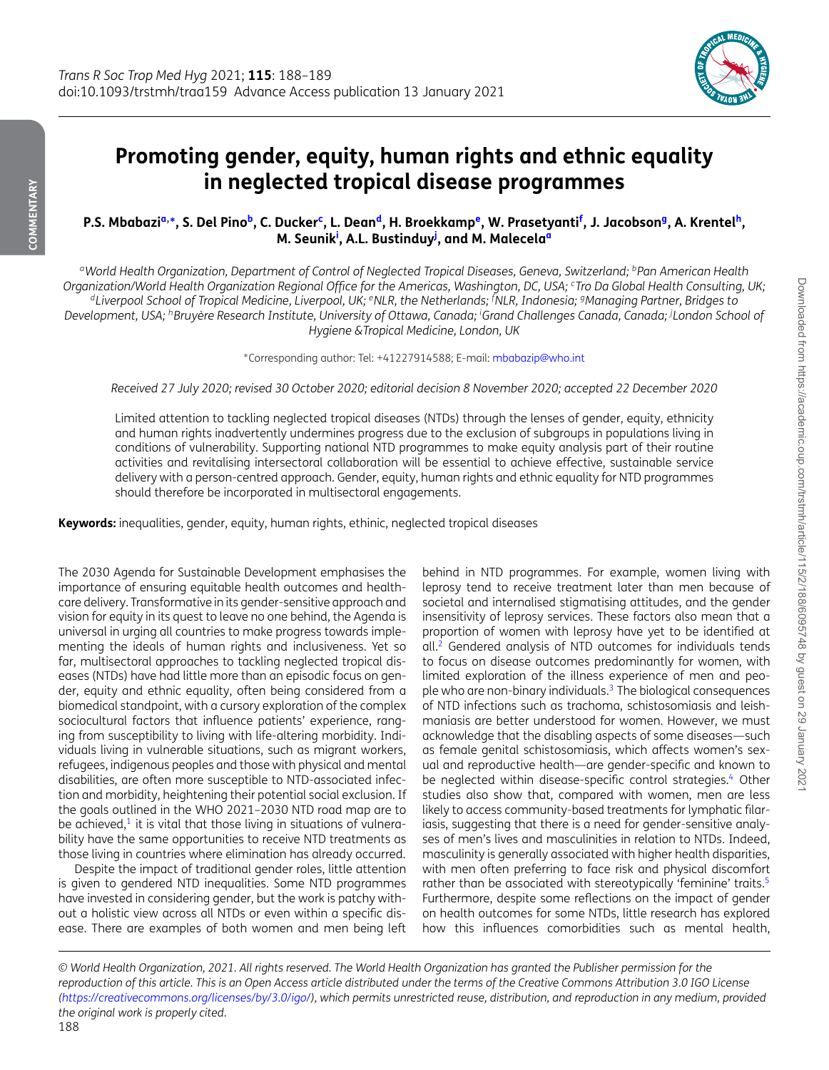<span id="page-0-10"></span><span id="page-0-7"></span><span id="page-0-3"></span><span id="page-0-2"></span>

## **Promoting gender, equity, human rights and ethnic equality in neglected tropical disease programmes**

P.S. Mbabazi<sup>a,</sup>\*, S. Del Pino<sup>b</sup>, C. Ducker<sup>c</sup>, L. Dean<sup>d</sup>, H. Broekkamp<sup>e</sup>, W. Prasetyanti<sup>f</sup>, J. Jacobson<sup>g</sup>, A. Krentel<sup>h</sup>, **M. Seunik[i](#page-0-9) , A.L. Bustindu[yj](#page-0-10) , and M. Malecela[a](#page-0-0)**

<span id="page-0-4"></span><span id="page-0-0"></span>*aWorld Health Organization, Department of Control of Neglected Tropical Diseases, Geneva, Switzerland; bPan American Health Organization/World Health Organization Regional Office for the Americas, Washington, DC, USA; cTro Da Global Health Consulting, UK; dLiverpool School of Tropical Medicine, Liverpool, UK; eNLR, the Netherlands; <sup>f</sup> NLR, Indonesia; gManaging Partner, Bridges to Development, USA; hBruyère Research Institute, University of Ottawa, Canada; <sup>i</sup> Grand Challenges Canada, Canada; <sup>j</sup> London School of Hygiene &Tropical Medicine, London, UK*

<span id="page-0-9"></span><span id="page-0-8"></span><span id="page-0-6"></span><span id="page-0-5"></span><span id="page-0-1"></span>∗Corresponding author: Tel: +41227914588; E-mail: [mbabazip@who.int](mailto:mbabazip@who.int)

*Received 27 July 2020; revised 30 October 2020; editorial decision 8 November 2020; accepted 22 December 2020*

Limited attention to tackling neglected tropical diseases (NTDs) through the lenses of gender, equity, ethnicity and human rights inadvertently undermines progress due to the exclusion of subgroups in populations living in conditions of vulnerability. Supporting national NTD programmes to make equity analysis part of their routine activities and revitalising intersectoral collaboration will be essential to achieve effective, sustainable service delivery with a person-centred approach. Gender, equity, human rights and ethnic equality for NTD programmes should therefore be incorporated in multisectoral engagements.

**Keywords:** inequalities, gender, equity, human rights, ethinic, neglected tropical diseases

The 2030 Agenda for Sustainable Development emphasises the importance of ensuring equitable health outcomes and healthcare delivery. Transformative in its gender-sensitive approach and vision for equity in its quest to leave no one behind, the Agenda is universal in urging all countries to make progress towards implementing the ideals of human rights and inclusiveness. Yet so far, multisectoral approaches to tackling neglected tropical diseases (NTDs) have had little more than an episodic focus on gender, equity and ethnic equality, often being considered from a biomedical standpoint, with a cursory exploration of the complex sociocultural factors that influence patients' experience, ranging from susceptibility to living with life-altering morbidity. Individuals living in vulnerable situations, such as migrant workers, refugees, indigenous peoples and those with physical and mental disabilities, are often more susceptible to NTD-associated infection and morbidity, heightening their potential social exclusion. If the goals outlined in the WHO 2021–2030 NTD road map are to be achieved, $1$  it is vital that those living in situations of vulnerability have the same opportunities to receive NTD treatments as those living in countries where elimination has already occurred.

Despite the impact of traditional gender roles, little attention is given to gendered NTD inequalities. Some NTD programmes have invested in considering gender, but the work is patchy without a holistic view across all NTDs or even within a specific disease. There are examples of both women and men being left behind in NTD programmes. For example, women living with leprosy tend to receive treatment later than men because of societal and internalised stigmatising attitudes, and the gender insensitivity of leprosy services. These factors also mean that a proportion of women with leprosy have yet to be identified at all[.2](#page-1-1) Gendered analysis of NTD outcomes for individuals tends to focus on disease outcomes predominantly for women, with limited exploration of the illness experience of men and people who are non-binary individuals.<sup>3</sup> The biological consequences of NTD infections such as trachoma, schistosomiasis and leishmaniasis are better understood for women. However, we must acknowledge that the disabling aspects of some diseases—such as female genital schistosomiasis, which affects women's sexual and reproductive health—are gender-specific and known to be neglected within disease-specific control strategies.<sup>4</sup> Other studies also show that, compared with women, men are less likely to access community-based treatments for lymphatic filariasis, suggesting that there is a need for gender-sensitive analyses of men's lives and masculinities in relation to NTDs. Indeed, masculinity is generally associated with higher health disparities, with men often preferring to face risk and physical discomfort rather than be associated with stereotypically 'feminine' traits.<sup>5</sup> Furthermore, despite some reflections on the impact of gender on health outcomes for some NTDs, little research has explored how this influences comorbidities such as mental health,

*© World Health Organization, 2021. All rights reserved. The World Health Organization has granted the Publisher permission for the reproduction of this article. This is an Open Access article distributed under the terms of the Creative Commons Attribution 3.0 IGO License [\(https://creativecommons.org/licenses/by/3.0/igo/\)](https://creativecommons.org/licenses/by/3.0/igo/), which permits unrestricted reuse, distribution, and reproduction in any medium, provided the original work is properly cited.* 188